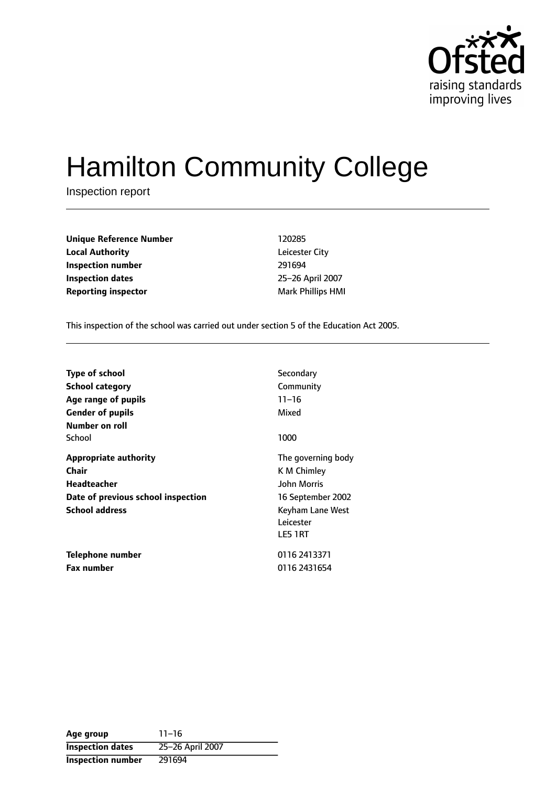

# Hamilton Community College

Inspection report

**Unique Reference Number** 120285 **Local Authority** Leicester City **Inspection number** 291694 **Inspection dates** 25-26 April 2007 **Reporting inspector** Mark Phillips HMI

This inspection of the school was carried out under section 5 of the Education Act 2005.

| <b>Type of school</b><br>School category<br>Age range of pupils<br><b>Gender of pupils</b><br>Number on roll               | Secondary<br>Community<br>$11 - 16$<br>Mixed                                                                             |
|----------------------------------------------------------------------------------------------------------------------------|--------------------------------------------------------------------------------------------------------------------------|
| School                                                                                                                     | 1000                                                                                                                     |
| <b>Appropriate authority</b><br>Chair<br><b>Headteacher</b><br>Date of previous school inspection<br><b>School address</b> | The governing body<br>K M Chimley<br><b>John Morris</b><br>16 September 2002<br>Keyham Lane West<br>Leicester<br>LE5 1RT |
| Telephone number<br><b>Fax number</b>                                                                                      | 0116 2413371<br>0116 2431654                                                                                             |

**Age** group 11-16 **Inspection dates** 25-26 April 2007 **Inspection number** 291694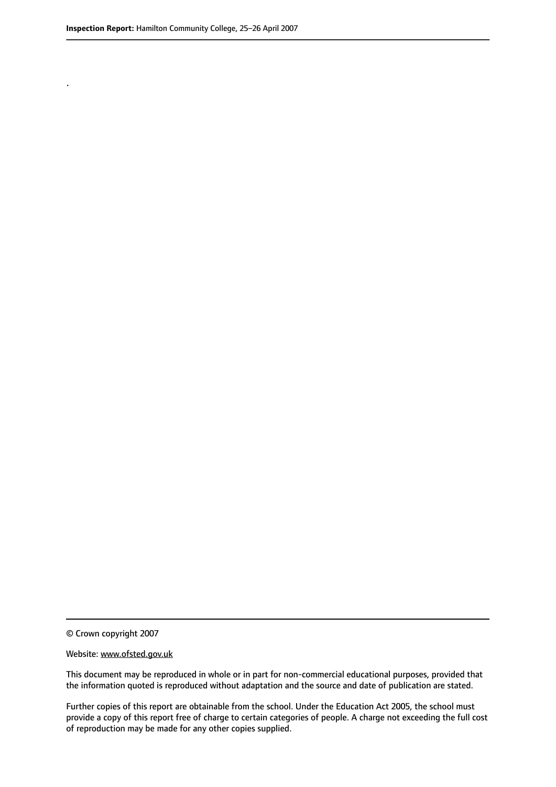.

© Crown copyright 2007

#### Website: www.ofsted.gov.uk

This document may be reproduced in whole or in part for non-commercial educational purposes, provided that the information quoted is reproduced without adaptation and the source and date of publication are stated.

Further copies of this report are obtainable from the school. Under the Education Act 2005, the school must provide a copy of this report free of charge to certain categories of people. A charge not exceeding the full cost of reproduction may be made for any other copies supplied.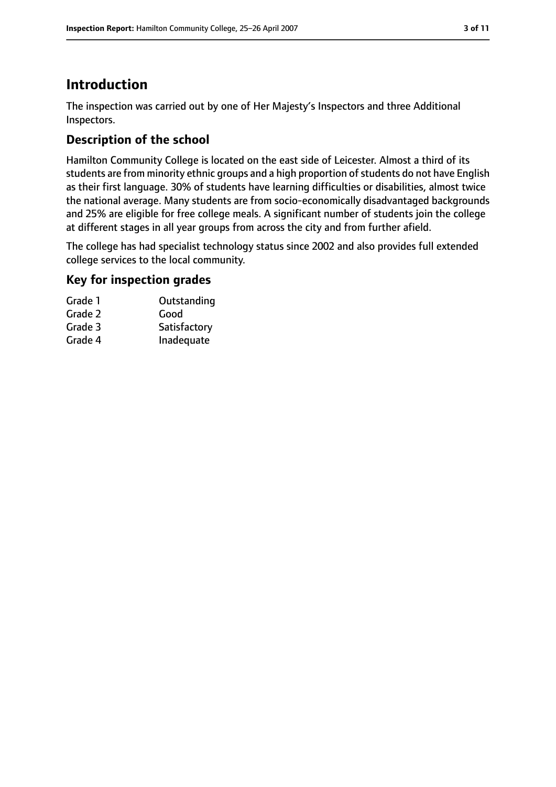# **Introduction**

The inspection was carried out by one of Her Majesty's Inspectors and three Additional Inspectors.

# **Description of the school**

Hamilton Community College is located on the east side of Leicester. Almost a third of its students are from minority ethnic groups and a high proportion of students do not have English as their first language. 30% of students have learning difficulties or disabilities, almost twice the national average. Many students are from socio-economically disadvantaged backgrounds and 25% are eligible for free college meals. A significant number of students join the college at different stages in all year groups from across the city and from further afield.

The college has had specialist technology status since 2002 and also provides full extended college services to the local community.

## **Key for inspection grades**

| Outstanding  |
|--------------|
| Good         |
| Satisfactory |
| Inadequate   |
|              |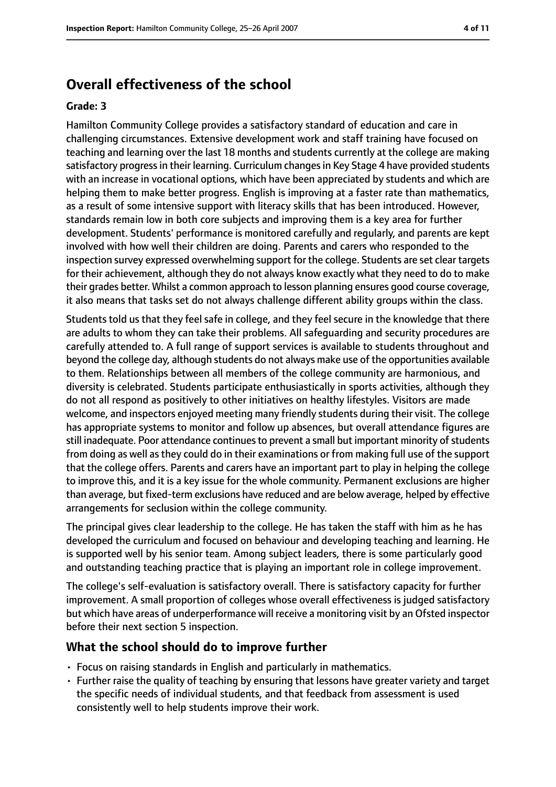## **Overall effectiveness of the school**

#### **Grade: 3**

Hamilton Community College provides a satisfactory standard of education and care in challenging circumstances. Extensive development work and staff training have focused on teaching and learning over the last 18 months and students currently at the college are making satisfactory progress in their learning. Curriculum changes in Key Stage 4 have provided students with an increase in vocational options, which have been appreciated by students and which are helping them to make better progress. English is improving at a faster rate than mathematics, as a result of some intensive support with literacy skills that has been introduced. However, standards remain low in both core subjects and improving them is a key area for further development. Students' performance is monitored carefully and regularly, and parents are kept involved with how well their children are doing. Parents and carers who responded to the inspection survey expressed overwhelming support for the college. Students are set clear targets for their achievement, although they do not always know exactly what they need to do to make their grades better. Whilst a common approach to lesson planning ensures good course coverage, it also means that tasks set do not always challenge different ability groups within the class.

Students told us that they feel safe in college, and they feel secure in the knowledge that there are adults to whom they can take their problems. All safeguarding and security procedures are carefully attended to. A full range of support services is available to students throughout and beyond the college day, although students do not always make use of the opportunities available to them. Relationships between all members of the college community are harmonious, and diversity is celebrated. Students participate enthusiastically in sports activities, although they do not all respond as positively to other initiatives on healthy lifestyles. Visitors are made welcome, and inspectors enjoyed meeting many friendly students during their visit. The college has appropriate systems to monitor and follow up absences, but overall attendance figures are still inadequate. Poor attendance continues to prevent a small but important minority of students from doing as well asthey could do in their examinations or from making full use of the support that the college offers. Parents and carers have an important part to play in helping the college to improve this, and it is a key issue for the whole community. Permanent exclusions are higher than average, but fixed-term exclusions have reduced and are below average, helped by effective arrangements for seclusion within the college community.

The principal gives clear leadership to the college. He has taken the staff with him as he has developed the curriculum and focused on behaviour and developing teaching and learning. He is supported well by his senior team. Among subject leaders, there is some particularly good and outstanding teaching practice that is playing an important role in college improvement.

The college's self-evaluation is satisfactory overall. There is satisfactory capacity for further improvement. A small proportion of colleges whose overall effectiveness is judged satisfactory but which have areas of underperformance will receive a monitoring visit by an Ofsted inspector before their next section 5 inspection.

#### **What the school should do to improve further**

- Focus on raising standards in English and particularly in mathematics.
- Further raise the quality of teaching by ensuring that lessons have greater variety and target the specific needs of individual students, and that feedback from assessment is used consistently well to help students improve their work.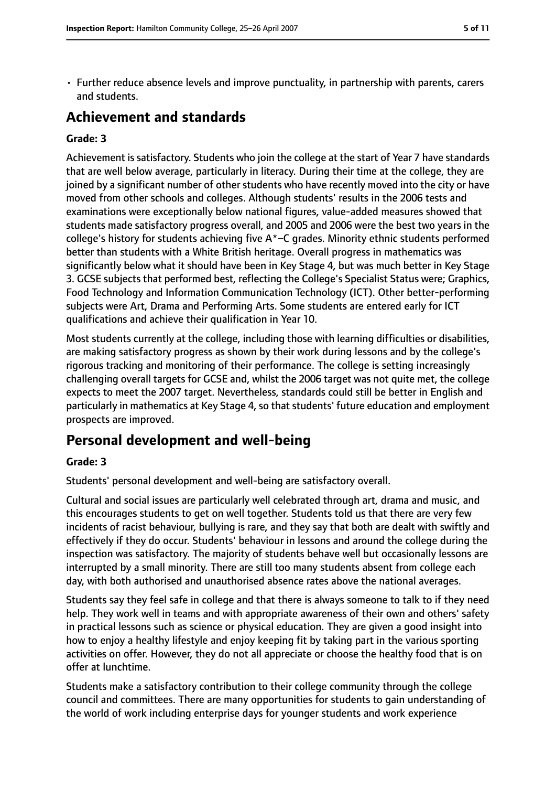• Further reduce absence levels and improve punctuality, in partnership with parents, carers and students.

# **Achievement and standards**

#### **Grade: 3**

Achievement is satisfactory. Students who join the college at the start of Year 7 have standards that are well below average, particularly in literacy. During their time at the college, they are joined by a significant number of other students who have recently moved into the city or have moved from other schools and colleges. Although students' results in the 2006 tests and examinations were exceptionally below national figures, value-added measures showed that students made satisfactory progress overall, and 2005 and 2006 were the best two years in the college's history for students achieving five  $A^*$ –C grades. Minority ethnic students performed better than students with a White British heritage. Overall progress in mathematics was significantly below what it should have been in Key Stage 4, but was much better in Key Stage 3. GCSE subjects that performed best, reflecting the College's Specialist Status were; Graphics, Food Technology and Information Communication Technology (ICT). Other better-performing subjects were Art, Drama and Performing Arts. Some students are entered early for ICT qualifications and achieve their qualification in Year 10.

Most students currently at the college, including those with learning difficulties or disabilities, are making satisfactory progress as shown by their work during lessons and by the college's rigorous tracking and monitoring of their performance. The college is setting increasingly challenging overall targets for GCSE and, whilst the 2006 target was not quite met, the college expects to meet the 2007 target. Nevertheless, standards could still be better in English and particularly in mathematics at Key Stage 4, so that students' future education and employment prospects are improved.

# **Personal development and well-being**

#### **Grade: 3**

Students' personal development and well-being are satisfactory overall.

Cultural and social issues are particularly well celebrated through art, drama and music, and this encourages students to get on well together. Students told us that there are very few incidents of racist behaviour, bullying is rare, and they say that both are dealt with swiftly and effectively if they do occur. Students' behaviour in lessons and around the college during the inspection was satisfactory. The majority of students behave well but occasionally lessons are interrupted by a small minority. There are still too many students absent from college each day, with both authorised and unauthorised absence rates above the national averages.

Students say they feel safe in college and that there is always someone to talk to if they need help. They work well in teams and with appropriate awareness of their own and others' safety in practical lessons such as science or physical education. They are given a good insight into how to enjoy a healthy lifestyle and enjoy keeping fit by taking part in the various sporting activities on offer. However, they do not all appreciate or choose the healthy food that is on offer at lunchtime.

Students make a satisfactory contribution to their college community through the college council and committees. There are many opportunities for students to gain understanding of the world of work including enterprise days for younger students and work experience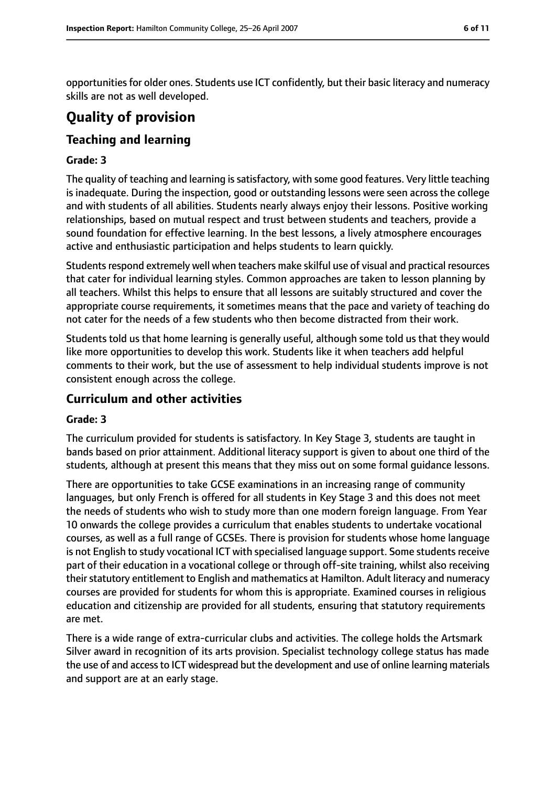opportunities for older ones. Students use ICT confidently, but their basic literacy and numeracy skills are not as well developed.

# **Quality of provision**

# **Teaching and learning**

#### **Grade: 3**

The quality of teaching and learning is satisfactory, with some good features. Very little teaching is inadequate. During the inspection, good or outstanding lessons were seen across the college and with students of all abilities. Students nearly always enjoy their lessons. Positive working relationships, based on mutual respect and trust between students and teachers, provide a sound foundation for effective learning. In the best lessons, a lively atmosphere encourages active and enthusiastic participation and helps students to learn quickly.

Students respond extremely well when teachers make skilful use of visual and practical resources that cater for individual learning styles. Common approaches are taken to lesson planning by all teachers. Whilst this helps to ensure that all lessons are suitably structured and cover the appropriate course requirements, it sometimes means that the pace and variety of teaching do not cater for the needs of a few students who then become distracted from their work.

Students told us that home learning is generally useful, although some told us that they would like more opportunities to develop this work. Students like it when teachers add helpful comments to their work, but the use of assessment to help individual students improve is not consistent enough across the college.

#### **Curriculum and other activities**

#### **Grade: 3**

The curriculum provided for students is satisfactory. In Key Stage 3, students are taught in bands based on prior attainment. Additional literacy support is given to about one third of the students, although at present this means that they miss out on some formal guidance lessons.

There are opportunities to take GCSE examinations in an increasing range of community languages, but only French is offered for all students in Key Stage 3 and this does not meet the needs of students who wish to study more than one modern foreign language. From Year 10 onwards the college provides a curriculum that enables students to undertake vocational courses, as well as a full range of GCSEs. There is provision for students whose home language is not English to study vocational ICT with specialised language support. Some students receive part of their education in a vocational college or through off-site training, whilst also receiving their statutory entitlement to English and mathematics at Hamilton. Adult literacy and numeracy courses are provided for students for whom this is appropriate. Examined courses in religious education and citizenship are provided for all students, ensuring that statutory requirements are met.

There is a wide range of extra-curricular clubs and activities. The college holds the Artsmark Silver award in recognition of its arts provision. Specialist technology college status has made the use of and accessto ICT widespread but the development and use of online learning materials and support are at an early stage.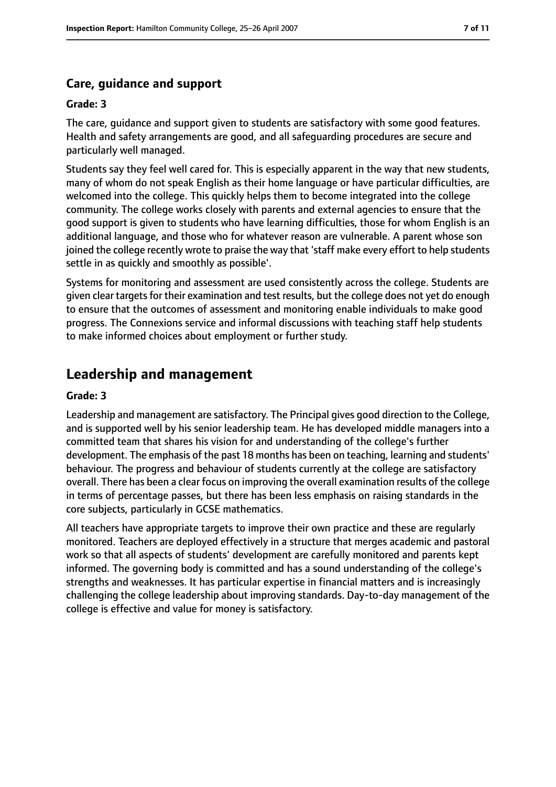## **Care, guidance and support**

#### **Grade: 3**

The care, guidance and support given to students are satisfactory with some good features. Health and safety arrangements are good, and all safeguarding procedures are secure and particularly well managed.

Students say they feel well cared for. This is especially apparent in the way that new students, many of whom do not speak English as their home language or have particular difficulties, are welcomed into the college. This quickly helps them to become integrated into the college community. The college works closely with parents and external agencies to ensure that the good support is given to students who have learning difficulties, those for whom English is an additional language, and those who for whatever reason are vulnerable. A parent whose son joined the college recently wrote to praise the way that 'staff make every effort to help students settle in as quickly and smoothly as possible'.

Systems for monitoring and assessment are used consistently across the college. Students are given clear targetsfor their examination and test results, but the college does not yet do enough to ensure that the outcomes of assessment and monitoring enable individuals to make good progress. The Connexions service and informal discussions with teaching staff help students to make informed choices about employment or further study.

# **Leadership and management**

#### **Grade: 3**

Leadership and management are satisfactory. The Principal gives good direction to the College, and is supported well by his senior leadership team. He has developed middle managers into a committed team that shares his vision for and understanding of the college's further development. The emphasis of the past 18 months has been on teaching, learning and students' behaviour. The progress and behaviour of students currently at the college are satisfactory overall. There has been a clear focus on improving the overall examination results of the college in terms of percentage passes, but there has been less emphasis on raising standards in the core subjects, particularly in GCSE mathematics.

All teachers have appropriate targets to improve their own practice and these are regularly monitored. Teachers are deployed effectively in a structure that merges academic and pastoral work so that all aspects of students' development are carefully monitored and parents kept informed. The governing body is committed and has a sound understanding of the college's strengths and weaknesses. It has particular expertise in financial matters and is increasingly challenging the college leadership about improving standards. Day-to-day management of the college is effective and value for money is satisfactory.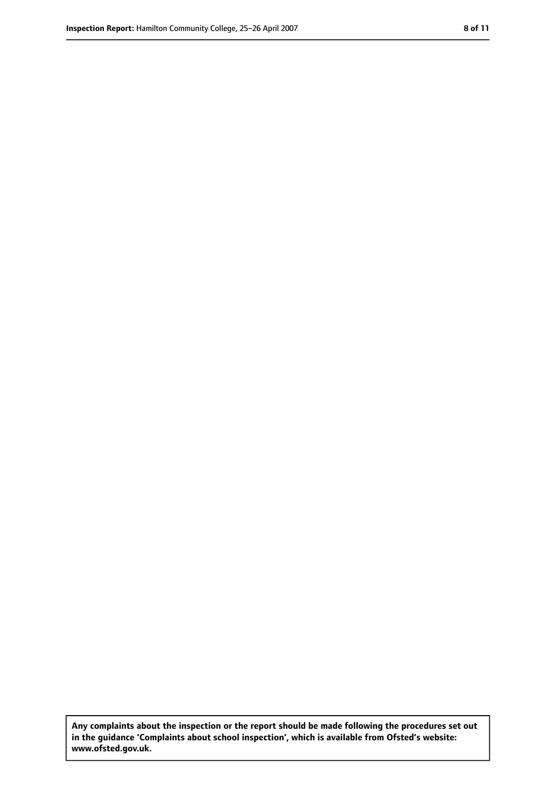**Any complaints about the inspection or the report should be made following the procedures set out in the guidance 'Complaints about school inspection', which is available from Ofsted's website: www.ofsted.gov.uk.**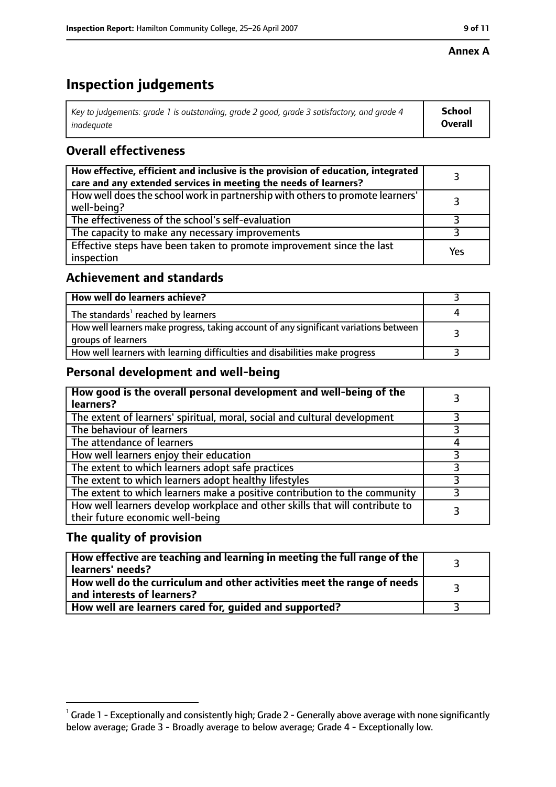#### **Annex A**

# **Inspection judgements**

| Key to judgements: grade 1 is outstanding, grade 2 good, grade 3 satisfactory, and grade 4 | <b>School</b>  |
|--------------------------------------------------------------------------------------------|----------------|
| inadequate                                                                                 | <b>Overall</b> |

## **Overall effectiveness**

| How effective, efficient and inclusive is the provision of education, integrated<br>care and any extended services in meeting the needs of learners? |     |
|------------------------------------------------------------------------------------------------------------------------------------------------------|-----|
| How well does the school work in partnership with others to promote learners'<br>well-being?                                                         |     |
| The effectiveness of the school's self-evaluation                                                                                                    |     |
| The capacity to make any necessary improvements                                                                                                      |     |
| Effective steps have been taken to promote improvement since the last<br>inspection                                                                  | Yes |

## **Achievement and standards**

| How well do learners achieve?                                                                               |  |
|-------------------------------------------------------------------------------------------------------------|--|
| The standards <sup>1</sup> reached by learners                                                              |  |
| How well learners make progress, taking account of any significant variations between<br>groups of learners |  |
| How well learners with learning difficulties and disabilities make progress                                 |  |

## **Personal development and well-being**

| How good is the overall personal development and well-being of the<br>learners?                                  |  |
|------------------------------------------------------------------------------------------------------------------|--|
| The extent of learners' spiritual, moral, social and cultural development                                        |  |
| The behaviour of learners                                                                                        |  |
| The attendance of learners                                                                                       |  |
| How well learners enjoy their education                                                                          |  |
| The extent to which learners adopt safe practices                                                                |  |
| The extent to which learners adopt healthy lifestyles                                                            |  |
| The extent to which learners make a positive contribution to the community                                       |  |
| How well learners develop workplace and other skills that will contribute to<br>their future economic well-being |  |

## **The quality of provision**

| How effective are teaching and learning in meeting the full range of the<br>learners' needs?          |  |
|-------------------------------------------------------------------------------------------------------|--|
| How well do the curriculum and other activities meet the range of needs<br>and interests of learners? |  |
| How well are learners cared for, quided and supported?                                                |  |

 $^1$  Grade 1 - Exceptionally and consistently high; Grade 2 - Generally above average with none significantly below average; Grade 3 - Broadly average to below average; Grade 4 - Exceptionally low.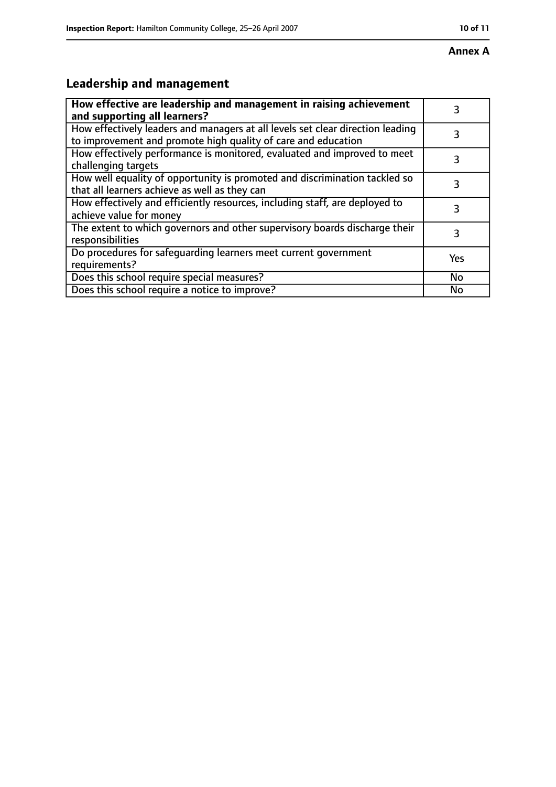# **Leadership and management**

| How effective are leadership and management in raising achievement<br>and supporting all learners?                                              | 3   |
|-------------------------------------------------------------------------------------------------------------------------------------------------|-----|
| How effectively leaders and managers at all levels set clear direction leading<br>to improvement and promote high quality of care and education |     |
| How effectively performance is monitored, evaluated and improved to meet<br>challenging targets                                                 | 3   |
| How well equality of opportunity is promoted and discrimination tackled so<br>that all learners achieve as well as they can                     | 3   |
| How effectively and efficiently resources, including staff, are deployed to<br>achieve value for money                                          | 3   |
| The extent to which governors and other supervisory boards discharge their<br>responsibilities                                                  | 3   |
| Do procedures for safequarding learners meet current government<br>requirements?                                                                | Yes |
| Does this school require special measures?                                                                                                      | No  |
| Does this school require a notice to improve?                                                                                                   | Nο  |